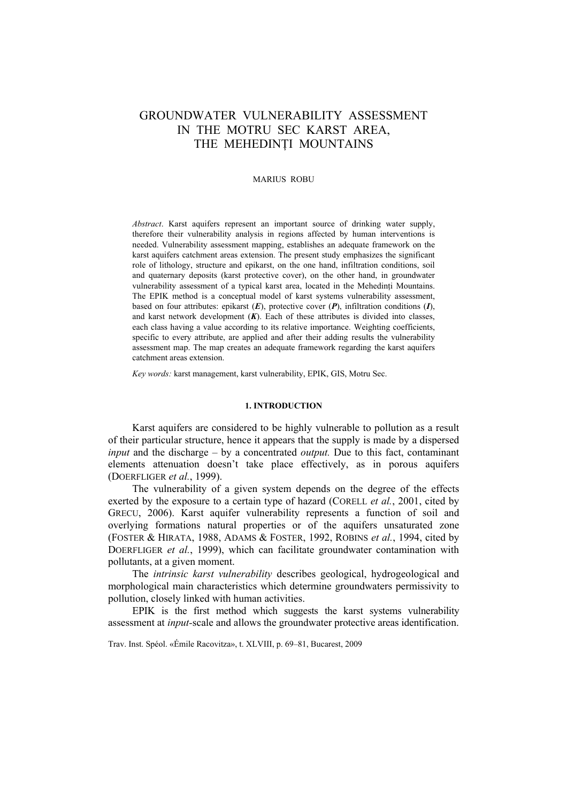# GROUNDWATER VULNERABILITY ASSESSMENT IN THE MOTRU SEC KARST AREA, THE MEHEDINTI MOUNTAINS

#### MARIUS ROBU

*Abstract*. Karst aquifers represent an important source of drinking water supply, therefore their vulnerability analysis in regions affected by human interventions is needed. Vulnerability assessment mapping, establishes an adequate framework on the karst aquifers catchment areas extension. The present study emphasizes the significant role of lithology, structure and epikarst, on the one hand, infiltration conditions, soil and quaternary deposits (karst protective cover), on the other hand, in groundwater vulnerability assessment of a typical karst area, located in the Mehedinţi Mountains. The EPIK method is a conceptual model of karst systems vulnerability assessment, based on four attributes: epikarst (*E*), protective cover (*P*), infiltration conditions (*I*), and karst network development  $(K)$ . Each of these attributes is divided into classes. each class having a value according to its relative importance. Weighting coefficients, specific to every attribute, are applied and after their adding results the vulnerability assessment map. The map creates an adequate framework regarding the karst aquifers catchment areas extension.

*Key words:* karst management, karst vulnerability, EPIK, GIS, Motru Sec.

# **1. INTRODUCTION**

Karst aquifers are considered to be highly vulnerable to pollution as a result of their particular structure, hence it appears that the supply is made by a dispersed *input* and the discharge – by a concentrated *output.* Due to this fact, contaminant elements attenuation doesn't take place effectively, as in porous aquifers (DOERFLIGER *et al.*, 1999).

The vulnerability of a given system depends on the degree of the effects exerted by the exposure to a certain type of hazard (CORELL *et al.*, 2001, cited by GRECU, 2006). Karst aquifer vulnerability represents a function of soil and overlying formations natural properties or of the aquifers unsaturated zone (FOSTER & HIRATA, 1988, ADAMS & FOSTER, 1992, ROBINS *et al.*, 1994, cited by DOERFLIGER *et al.*, 1999), which can facilitate groundwater contamination with pollutants, at a given moment.

The *intrinsic karst vulnerability* describes geological, hydrogeological and morphological main characteristics which determine groundwaters permissivity to pollution, closely linked with human activities.

EPIK is the first method which suggests the karst systems vulnerability assessment at *input-*scale and allows the groundwater protective areas identification.

Trav. Inst. Spéol. «Émile Racovitza», t. XLVIII, p. 69–81, Bucarest, 2009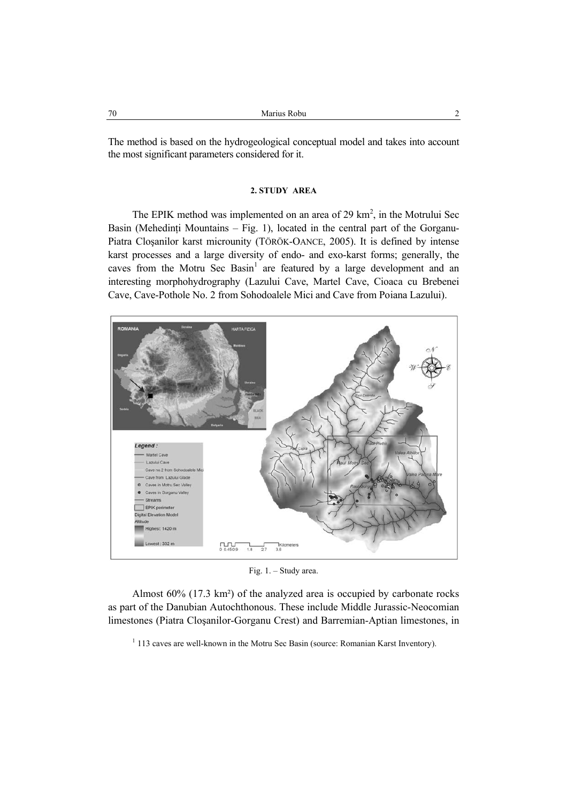The method is based on the hydrogeological conceptual model and takes into account the most significant parameters considered for it.

#### **2. STUDY AREA**

The EPIK method was implemented on an area of 29  $\text{km}^2$ , in the Motrului Sec Basin (Mehedinți Mountains – Fig. 1), located in the central part of the Gorganu-Piatra Cloşanilor karst microunity (TÖRÖK-OANCE, 2005). It is defined by intense karst processes and a large diversity of endo- and exo-karst forms; generally, the caves from the Motru Sec Basin<sup>1</sup> are featured by a large development and an interesting morphohydrography (Lazului Cave, Martel Cave, Cioaca cu Brebenei Cave, Cave-Pothole No. 2 from Sohodoalele Mici and Cave from Poiana Lazului).



Fig. 1. – Study area.

Almost 60% (17.3 km²) of the analyzed area is occupied by carbonate rocks as part of the Danubian Autochthonous. These include Middle Jurassic-Neocomian limestones (Piatra Cloşanilor-Gorganu Crest) and Barremian-Aptian limestones, in

 $1$  113 caves are well-known in the Motru Sec Basin (source: Romanian Karst Inventory).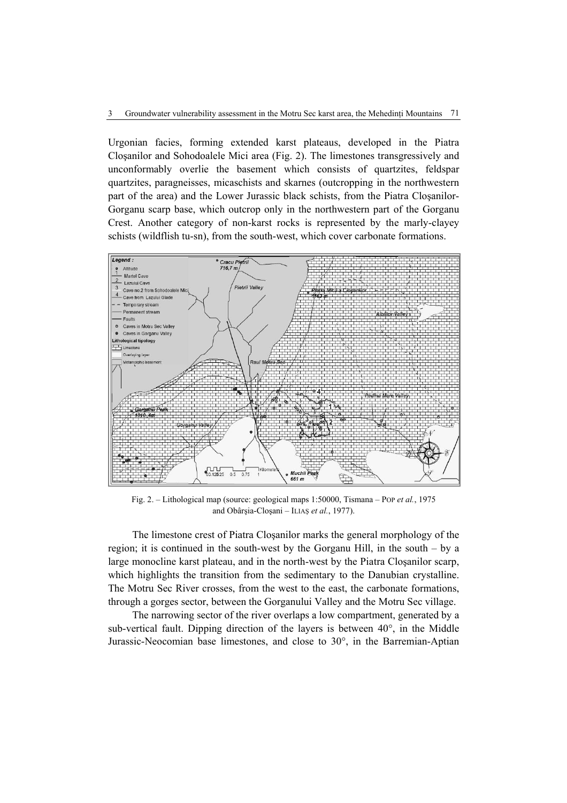Urgonian facies, forming extended karst plateaus, developed in the Piatra Cloşanilor and Sohodoalele Mici area (Fig. 2). The limestones transgressively and unconformably overlie the basement which consists of quartzites, feldspar quartzites, paragneisses, micaschists and skarnes (outcropping in the northwestern part of the area) and the Lower Jurassic black schists, from the Piatra Cloşanilor-Gorganu scarp base, which outcrop only in the northwestern part of the Gorganu Crest. Another category of non-karst rocks is represented by the marly-clayey schists (wildflish tu-sn), from the south-west, which cover carbonate formations.



Fig. 2. – Lithological map (source: geological maps 1:50000, Tismana – POP *et al.*, 1975 and Obârşia-Cloşani – ILIAŞ *et al.*, 1977).

The limestone crest of Piatra Cloşanilor marks the general morphology of the region; it is continued in the south-west by the Gorganu Hill, in the south – by a large monocline karst plateau, and in the north-west by the Piatra Cloşanilor scarp, which highlights the transition from the sedimentary to the Danubian crystalline. The Motru Sec River crosses, from the west to the east, the carbonate formations, through a gorges sector, between the Gorganului Valley and the Motru Sec village.

The narrowing sector of the river overlaps a low compartment, generated by a sub-vertical fault. Dipping direction of the layers is between 40°, in the Middle Jurassic-Neocomian base limestones, and close to 30°, in the Barremian-Aptian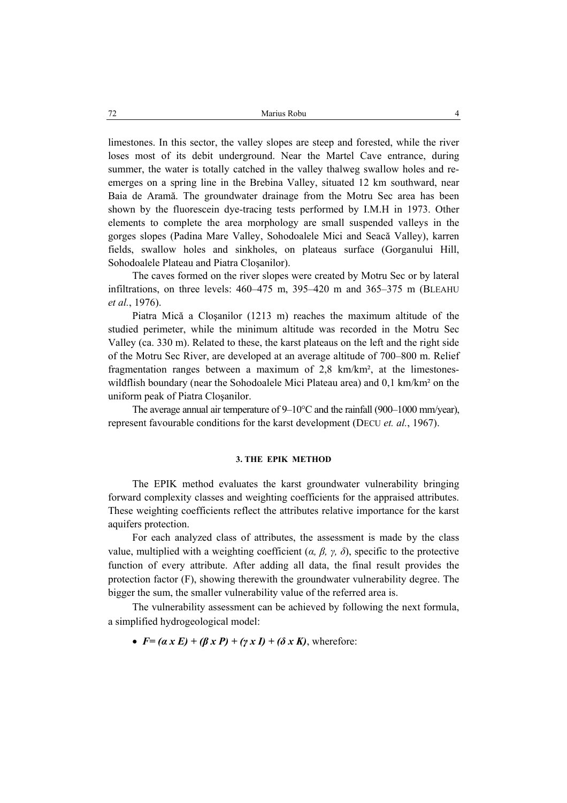limestones. In this sector, the valley slopes are steep and forested, while the river loses most of its debit underground. Near the Martel Cave entrance, during summer, the water is totally catched in the valley thalweg swallow holes and reemerges on a spring line in the Brebina Valley, situated 12 km southward, near Baia de Aramă. The groundwater drainage from the Motru Sec area has been shown by the fluorescein dye-tracing tests performed by I.M.H in 1973. Other elements to complete the area morphology are small suspended valleys in the gorges slopes (Padina Mare Valley, Sohodoalele Mici and Seacă Valley), karren fields, swallow holes and sinkholes, on plateaus surface (Gorganului Hill, Sohodoalele Plateau and Piatra Cloşanilor).

The caves formed on the river slopes were created by Motru Sec or by lateral infiltrations, on three levels: 460–475 m, 395–420 m and 365–375 m (BLEAHU *et al.*, 1976).

Piatra Mică a Cloşanilor (1213 m) reaches the maximum altitude of the studied perimeter, while the minimum altitude was recorded in the Motru Sec Valley (ca. 330 m). Related to these, the karst plateaus on the left and the right side of the Motru Sec River, are developed at an average altitude of 700–800 m. Relief fragmentation ranges between a maximum of 2,8 km/km², at the limestoneswildflish boundary (near the Sohodoalele Mici Plateau area) and 0.1 km/km<sup>2</sup> on the uniform peak of Piatra Cloşanilor.

The average annual air temperature of 9–10°C and the rainfall (900–1000 mm/year), represent favourable conditions for the karst development (DECU *et. al.*, 1967).

#### **3. THE EPIK METHOD**

The EPIK method evaluates the karst groundwater vulnerability bringing forward complexity classes and weighting coefficients for the appraised attributes. These weighting coefficients reflect the attributes relative importance for the karst aquifers protection.

For each analyzed class of attributes, the assessment is made by the class value, multiplied with a weighting coefficient (*α, β, γ, δ*), specific to the protective function of every attribute. After adding all data, the final result provides the protection factor (F), showing therewith the groundwater vulnerability degree. The bigger the sum, the smaller vulnerability value of the referred area is.

The vulnerability assessment can be achieved by following the next formula, a simplified hydrogeological model:

•  $F=(\alpha x E)+(\beta x P)+(\gamma x I)+(\delta x K)$ , wherefore: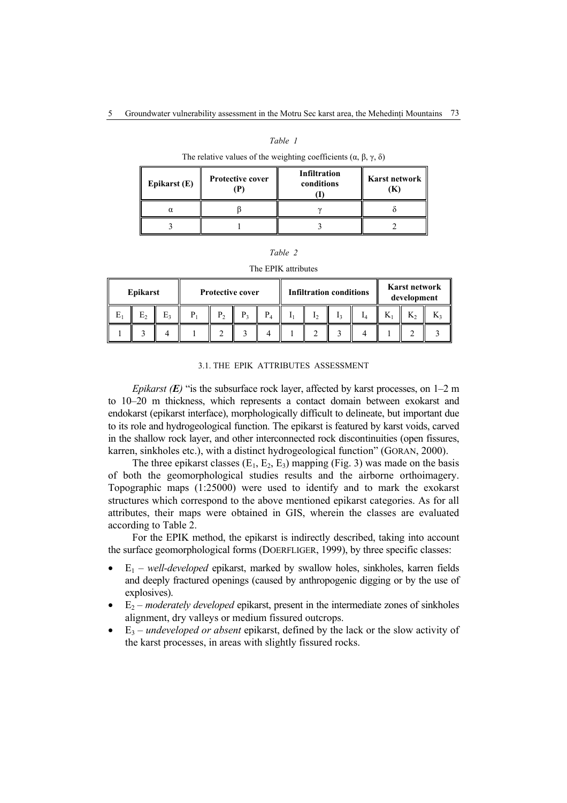#### *Table 1*

### The relative values of the weighting coefficients ( $\alpha$ , β,  $\gamma$ , δ)

| Epikarst (E) | Protective cover | Infiltration<br>conditions | Karst network |  |  |
|--------------|------------------|----------------------------|---------------|--|--|
|              |                  |                            |               |  |  |
|              |                  |                            |               |  |  |

#### *Table 2*

## The EPIK attributes

| Epikarst |  | <b>Protective cover</b> |    |                | <b>Infiltration conditions</b> |  |  |  | Karst network<br>development |    |  |   |  |
|----------|--|-------------------------|----|----------------|--------------------------------|--|--|--|------------------------------|----|--|---|--|
| E1       |  | E٠                      | P. | P <sub>2</sub> | P <sub>3</sub>                 |  |  |  |                              | ıл |  | T |  |
|          |  |                         |    |                |                                |  |  |  |                              |    |  |   |  |

#### 3.1. THE EPIK ATTRIBUTES ASSESSMENT

*Epikarst (E*) "is the subsurface rock layer, affected by karst processes, on 1–2 m to 10–20 m thickness, which represents a contact domain between exokarst and endokarst (epikarst interface), morphologically difficult to delineate, but important due to its role and hydrogeological function. The epikarst is featured by karst voids, carved in the shallow rock layer, and other interconnected rock discontinuities (open fissures, karren, sinkholes etc.), with a distinct hydrogeological function" (GORAN, 2000).

The three epikarst classes  $(E_1, E_2, E_3)$  mapping (Fig. 3) was made on the basis of both the geomorphological studies results and the airborne orthoimagery. Topographic maps (1:25000) were used to identify and to mark the exokarst structures which correspond to the above mentioned epikarst categories. As for all attributes, their maps were obtained in GIS, wherein the classes are evaluated according to Table 2.

For the EPIK method, the epikarst is indirectly described, taking into account the surface geomorphological forms (DOERFLIGER, 1999), by three specific classes:

- $E_1$  *well-developed* epikarst, marked by swallow holes, sinkholes, karren fields and deeply fractured openings (caused by anthropogenic digging or by the use of explosives).
- $E_2$  *moderately developed* epikarst, present in the intermediate zones of sinkholes alignment, dry valleys or medium fissured outcrops.
- E3 *undeveloped or absent* epikarst, defined by the lack or the slow activity of the karst processes, in areas with slightly fissured rocks.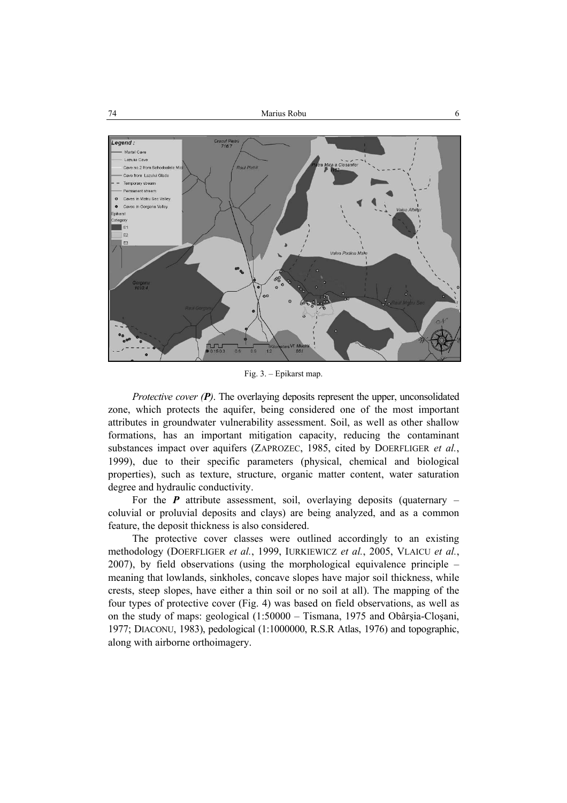

Fig. 3. – Epikarst map.

*Protective cover (P)*. The overlaying deposits represent the upper, unconsolidated zone, which protects the aquifer, being considered one of the most important attributes in groundwater vulnerability assessment. Soil, as well as other shallow formations, has an important mitigation capacity, reducing the contaminant substances impact over aquifers (ZAPROZEC, 1985, cited by DOERFLIGER *et al.*, 1999), due to their specific parameters (physical, chemical and biological properties), such as texture, structure, organic matter content, water saturation degree and hydraulic conductivity.

For the  $P$  attribute assessment, soil, overlaying deposits (quaternary  $$ coluvial or proluvial deposits and clays) are being analyzed, and as a common feature, the deposit thickness is also considered.

The protective cover classes were outlined accordingly to an existing methodology (DOERFLIGER *et al.*, 1999, IURKIEWICZ *et al.*, 2005, VLAICU *et al.*, 2007), by field observations (using the morphological equivalence principle – meaning that lowlands, sinkholes, concave slopes have major soil thickness, while crests, steep slopes, have either a thin soil or no soil at all). The mapping of the four types of protective cover (Fig. 4) was based on field observations, as well as on the study of maps: geological (1:50000 – Tismana, 1975 and Obârşia-Cloşani, 1977; DIACONU, 1983), pedological (1:1000000, R.S.R Atlas, 1976) and topographic, along with airborne orthoimagery.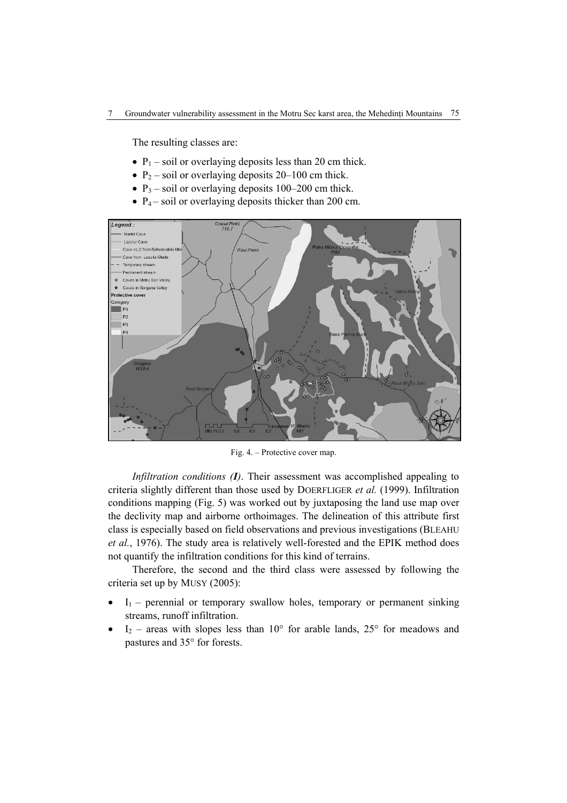The resulting classes are:

- $P_1$  soil or overlaying deposits less than 20 cm thick.
- $P_2$  soil or overlaying deposits 20–100 cm thick.
- $P_3$  soil or overlaying deposits 100–200 cm thick.
- $P_4$  soil or overlaying deposits thicker than 200 cm.



Fig. 4. – Protective cover map.

*Infiltration conditions (I)*. Their assessment was accomplished appealing to criteria slightly different than those used by DOERFLIGER *et al.* (1999). Infiltration conditions mapping (Fig. 5) was worked out by juxtaposing the land use map over the declivity map and airborne orthoimages. The delineation of this attribute first class is especially based on field observations and previous investigations (BLEAHU *et al.*, 1976). The study area is relatively well-forested and the EPIK method does not quantify the infiltration conditions for this kind of terrains.

Therefore, the second and the third class were assessed by following the criteria set up by MUSY (2005):

- $I_1$  perennial or temporary swallow holes, temporary or permanent sinking streams, runoff infiltration.
- $I_2$  areas with slopes less than 10° for arable lands, 25° for meadows and pastures and 35° for forests.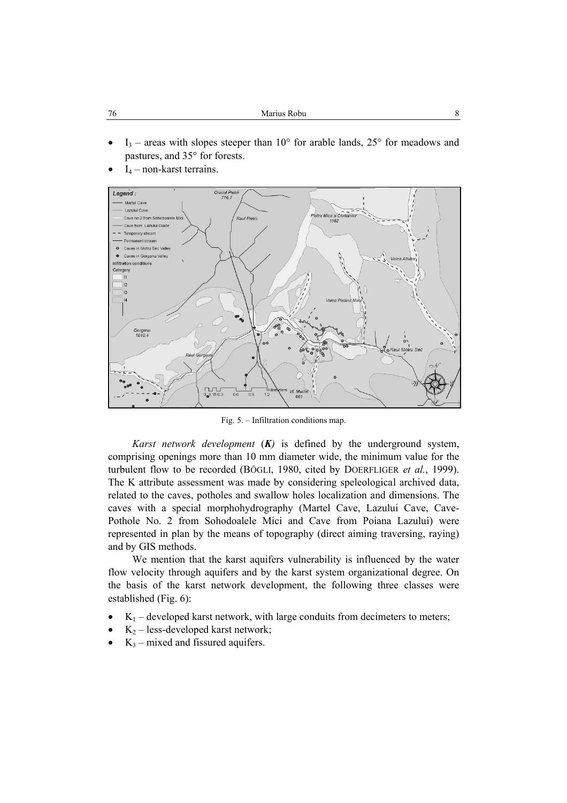| 76<br>Marius Robu |  |
|-------------------|--|
|-------------------|--|

- $I_3$  areas with slopes steeper than 10 $\degree$  for arable lands, 25 $\degree$  for meadows and pastures, and 35° for forests.
- $I_4$  non-karst terrains.



Fig. 5. – Infiltration conditions map.

*Karst network development* (*K)* is defined by the underground system, comprising openings more than 10 mm diameter wide, the minimum value for the turbulent flow to be recorded (BÖGLI, 1980, cited by DOERFLIGER *et al.*, 1999). The K attribute assessment was made by considering speleological archived data, related to the caves, potholes and swallow holes localization and dimensions. The caves with a special morphohydrography (Martel Cave, Lazului Cave, Cave-Pothole No. 2 from Sohodoalele Mici and Cave from Poiana Lazului) were represented in plan by the means of topography (direct aiming traversing, raying) and by GIS methods.

We mention that the karst aquifers vulnerability is influenced by the water flow velocity through aquifers and by the karst system organizational degree. On the basis of the karst network development, the following three classes were established (Fig. 6):

- $K_1$  developed karst network, with large conduits from decimeters to meters;
- $K_2$  less-developed karst network;
- $K_3$  mixed and fissured aquifers.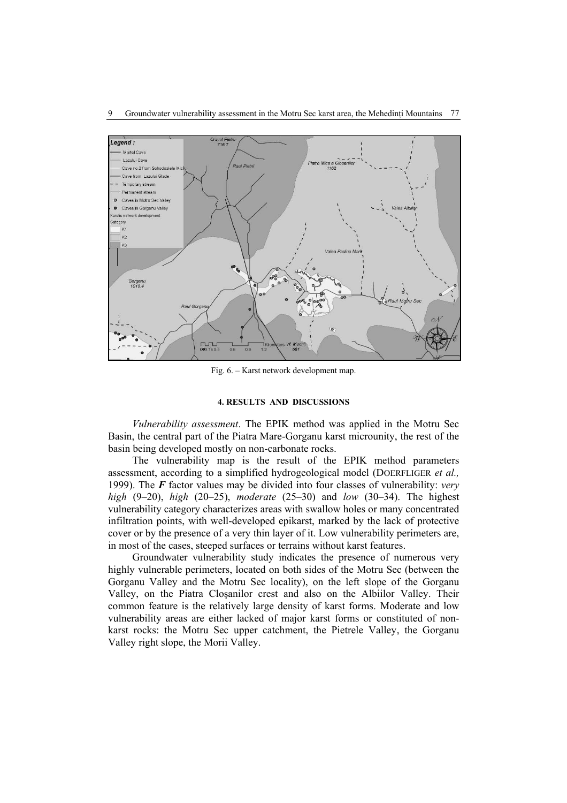

Fig. 6. – Karst network development map.

# **4. RESULTS AND DISCUSSIONS**

*Vulnerability assessment*. The EPIK method was applied in the Motru Sec Basin, the central part of the Piatra Mare-Gorganu karst microunity, the rest of the basin being developed mostly on non-carbonate rocks.

The vulnerability map is the result of the EPIK method parameters assessment, according to a simplified hydrogeological model (DOERFLIGER *et al.,* 1999). The *F* factor values may be divided into four classes of vulnerability: *very high* (9–20), *high* (20–25), *moderate* (25–30) and *low* (30–34). The highest vulnerability category characterizes areas with swallow holes or many concentrated infiltration points, with well-developed epikarst, marked by the lack of protective cover or by the presence of a very thin layer of it. Low vulnerability perimeters are, in most of the cases, steeped surfaces or terrains without karst features.

Groundwater vulnerability study indicates the presence of numerous very highly vulnerable perimeters, located on both sides of the Motru Sec (between the Gorganu Valley and the Motru Sec locality), on the left slope of the Gorganu Valley, on the Piatra Cloşanilor crest and also on the Albiilor Valley. Their common feature is the relatively large density of karst forms. Moderate and low vulnerability areas are either lacked of major karst forms or constituted of nonkarst rocks: the Motru Sec upper catchment, the Pietrele Valley, the Gorganu Valley right slope, the Morii Valley.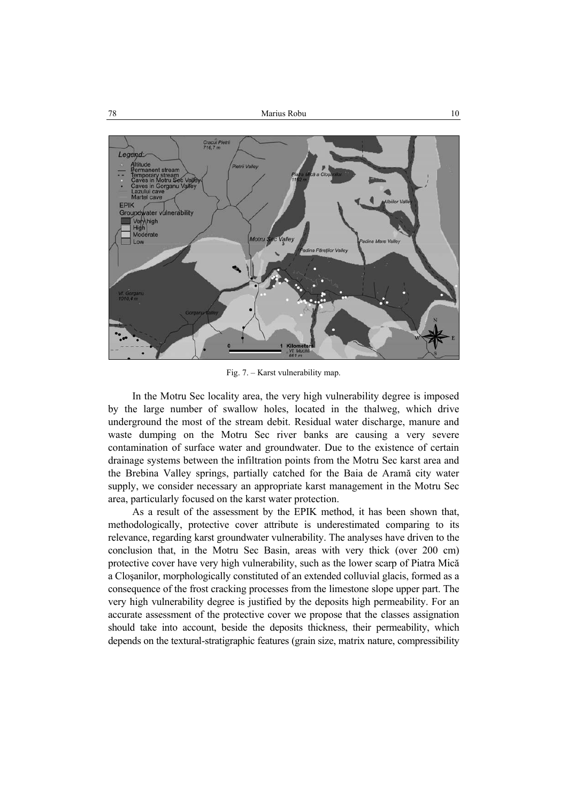

Fig. 7. – Karst vulnerability map.

In the Motru Sec locality area, the very high vulnerability degree is imposed by the large number of swallow holes, located in the thalweg, which drive underground the most of the stream debit. Residual water discharge, manure and waste dumping on the Motru Sec river banks are causing a very severe contamination of surface water and groundwater. Due to the existence of certain drainage systems between the infiltration points from the Motru Sec karst area and the Brebina Valley springs, partially catched for the Baia de Aramă city water supply, we consider necessary an appropriate karst management in the Motru Sec area, particularly focused on the karst water protection.

As a result of the assessment by the EPIK method, it has been shown that, methodologically, protective cover attribute is underestimated comparing to its relevance, regarding karst groundwater vulnerability. The analyses have driven to the conclusion that, in the Motru Sec Basin, areas with very thick (over 200 cm) protective cover have very high vulnerability, such as the lower scarp of Piatra Mică a Cloşanilor, morphologically constituted of an extended colluvial glacis, formed as a consequence of the frost cracking processes from the limestone slope upper part. The very high vulnerability degree is justified by the deposits high permeability. For an accurate assessment of the protective cover we propose that the classes assignation should take into account, beside the deposits thickness, their permeability, which depends on the textural-stratigraphic features (grain size, matrix nature, compressibility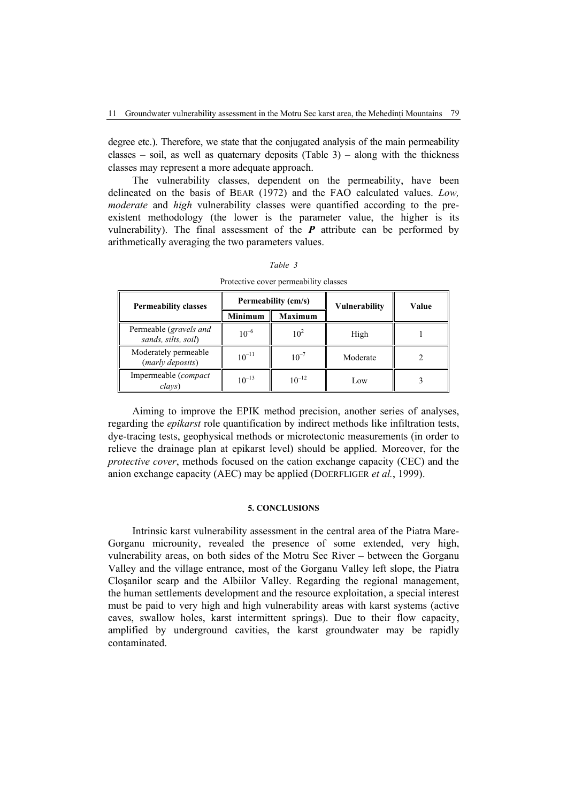degree etc.). Therefore, we state that the conjugated analysis of the main permeability classes – soil, as well as quaternary deposits (Table 3) – along with the thickness classes may represent a more adequate approach.

The vulnerability classes, dependent on the permeability, have been delineated on the basis of BEAR (1972) and the FAO calculated values. *Low, moderate* and *high* vulnerability classes were quantified according to the preexistent methodology (the lower is the parameter value, the higher is its vulnerability). The final assessment of the  $P$  attribute can be performed by arithmetically averaging the two parameters values.

| <b>Permeability classes</b>                   |                | Permeability (cm/s) | <b>Vulnerability</b> | Value |  |
|-----------------------------------------------|----------------|---------------------|----------------------|-------|--|
|                                               | <b>Minimum</b> | <b>Maximum</b>      |                      |       |  |
| Permeable (gravels and<br>sands, silts, soil) | $10^{-6}$      | $10^2$              | High                 |       |  |
| Moderately permeable<br>(marly deposits)      | $10^{-11}$     | $10^{-7}$           | Moderate             |       |  |
| Impermeable (compact<br>clavs)                | $10^{-13}$     | $10^{-12}$          | Low                  |       |  |
|                                               |                |                     |                      |       |  |

*Table 3* 

Protective cover permeability classes

Aiming to improve the EPIK method precision, another series of analyses, regarding the *epikarst* role quantification by indirect methods like infiltration tests, dye-tracing tests, geophysical methods or microtectonic measurements (in order to relieve the drainage plan at epikarst level) should be applied. Moreover, for the *protective cover*, methods focused on the cation exchange capacity (CEC) and the anion exchange capacity (AEC) may be applied (DOERFLIGER *et al.*, 1999).

## **5. CONCLUSIONS**

Intrinsic karst vulnerability assessment in the central area of the Piatra Mare-Gorganu microunity, revealed the presence of some extended, very high, vulnerability areas, on both sides of the Motru Sec River – between the Gorganu Valley and the village entrance, most of the Gorganu Valley left slope, the Piatra Cloşanilor scarp and the Albiilor Valley. Regarding the regional management, the human settlements development and the resource exploitation, a special interest must be paid to very high and high vulnerability areas with karst systems (active caves, swallow holes, karst intermittent springs). Due to their flow capacity, amplified by underground cavities, the karst groundwater may be rapidly contaminated.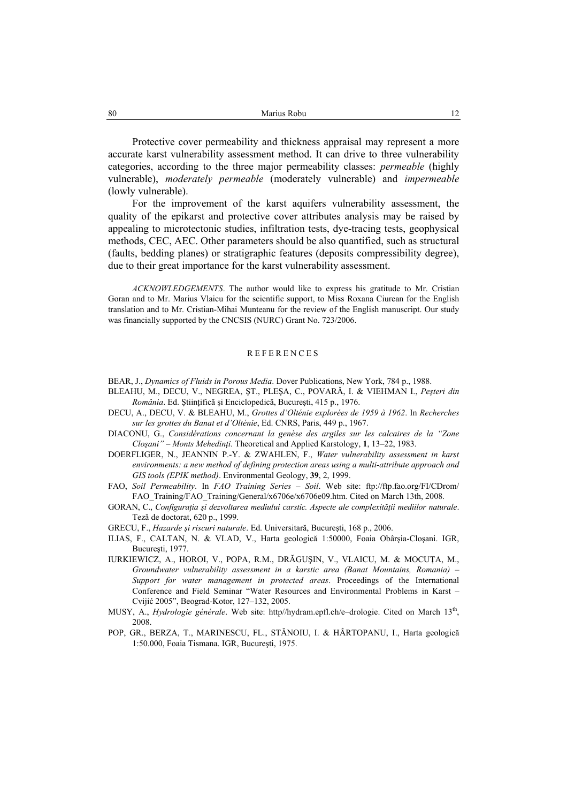Protective cover permeability and thickness appraisal may represent a more accurate karst vulnerability assessment method. It can drive to three vulnerability categories, according to the three major permeability classes: *permeable* (highly vulnerable), *moderately permeable* (moderately vulnerable) and *impermeable*  (lowly vulnerable).

For the improvement of the karst aquifers vulnerability assessment, the quality of the epikarst and protective cover attributes analysis may be raised by appealing to microtectonic studies, infiltration tests, dye-tracing tests, geophysical methods, CEC, AEC. Other parameters should be also quantified, such as structural (faults, bedding planes) or stratigraphic features (deposits compressibility degree), due to their great importance for the karst vulnerability assessment.

*ACKNOWLEDGEMENTS*. The author would like to express his gratitude to Mr. Cristian Goran and to Mr. Marius Vlaicu for the scientific support, to Miss Roxana Ciurean for the English translation and to Mr. Cristian-Mihai Munteanu for the review of the English manuscript. Our study was financially supported by the CNCSIS (NURC) Grant No. 723/2006.

#### REFERENCES

BEAR, J., *Dynamics of Fluids in Porous Media*. Dover Publications, New York, 784 p., 1988.

- BLEAHU, M., DECU, V., NEGREA, ŞT., PLEŞA, C., POVARĂ, I. & VIEHMAN I., *Peşteri din România*. Ed. Ştiinţifică şi Enciclopedică, Bucureşti, 415 p., 1976.
- DECU, A., DECU, V. & BLEAHU, M., *Grottes d'Olténie explorées de 1959 à 1962*. In *Recherches sur les grottes du Banat et d'Olténie*, Ed. CNRS, Paris, 449 p., 1967.
- DIACONU, G., *Considérations concernant la genèse des argiles sur les calcaires de la "Zone Cloşani" – Monts Mehedinţi.* Theoretical and Applied Karstology, **1**, 13–22, 1983.
- DOERFLIGER, N., JEANNIN P.-Y. & ZWAHLEN, F., *Water vulnerability assessment in karst environments: a new method of defining protection areas using a multi-attribute approach and GIS tools (EPIK method)*. Environmental Geology, **39**, 2, 1999.
- FAO, *Soil Permeability*. In *FAO Training Series Soil*. Web site: ftp://ftp.fao.org/FI/CDrom/ FAO\_Training/FAO\_Training/General/x6706e/x6706e09.htm. Cited on March 13th, 2008.
- GORAN, C., *Configuraţia şi dezvoltarea mediului carstic. Aspecte ale complexităţii mediilor naturale*. Teză de doctorat, 620 p., 1999.
- GRECU, F., *Hazarde şi riscuri naturale*. Ed. Universitară, Bucureşti, 168 p., 2006.
- ILIAS, F., CALTAN, N. & VLAD, V., Harta geologică 1:50000, Foaia Obârşia-Cloşani. IGR, Bucureşti, 1977.
- IURKIEWICZ, A., HOROI, V., POPA, R.M., DRĂGUŞIN, V., VLAICU, M. & MOCUŢA, M., *Groundwater vulnerability assessment in a karstic area (Banat Mountains, Romania)* – *Support for water management in protected areas*. Proceedings of the International Conference and Field Seminar "Water Resources and Environmental Problems in Karst – Cvijić 2005", Beograd-Kotor, 127–132, 2005.
- MUSY, A., *Hydrologie générale*. Web site: http//hydram.epfl.ch/e–drologie. Cited on March 13th, 2008.
- POP, GR., BERZA, T., MARINESCU, FL., STĂNOIU, I. & HÂRTOPANU, I., Harta geologică 1:50.000, Foaia Tismana. IGR, Bucureşti, 1975.